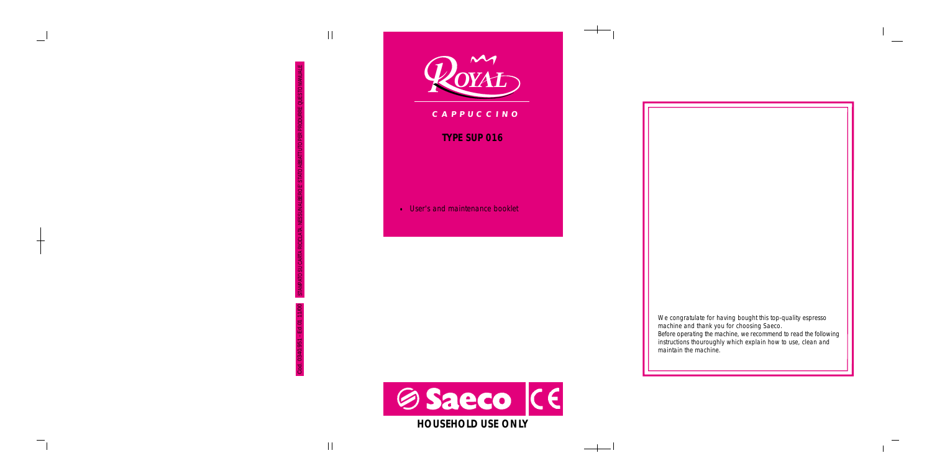

STAMPATO SU CARTA RICICLATA. NESSUN ALBERO E' STATO ABBATTUTO PER PRODURRE QUESTO MANUALE

 $\mathbf{1}$ 

Cod. 0340.951 - Ed.01 11/00

### **TYPE SUP 016**

• User's and maintenance booklet C *A P P U C C I N O*<br>
TYPE SUP 016<br>
User's and maintenance booklet

> *We congratulate for having bought this top-quality espresso machine and thank you for choosing Saeco. Before operating the machine, we recommend to read the following instructions thouroughly which explain how to use, clean and maintain the machine.*

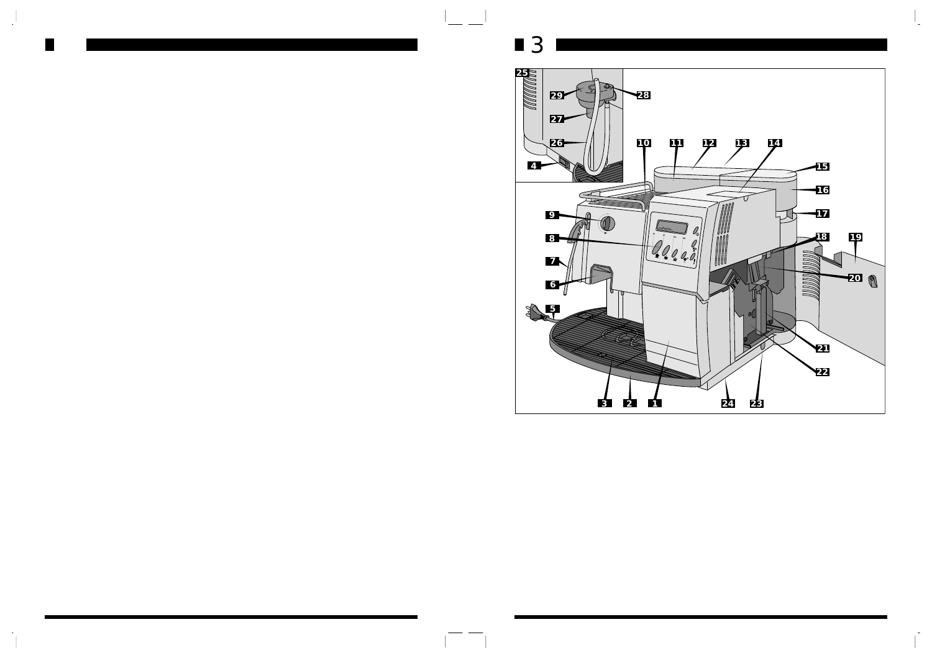

 $\mathbf{I}_\perp$ 

 $\sim$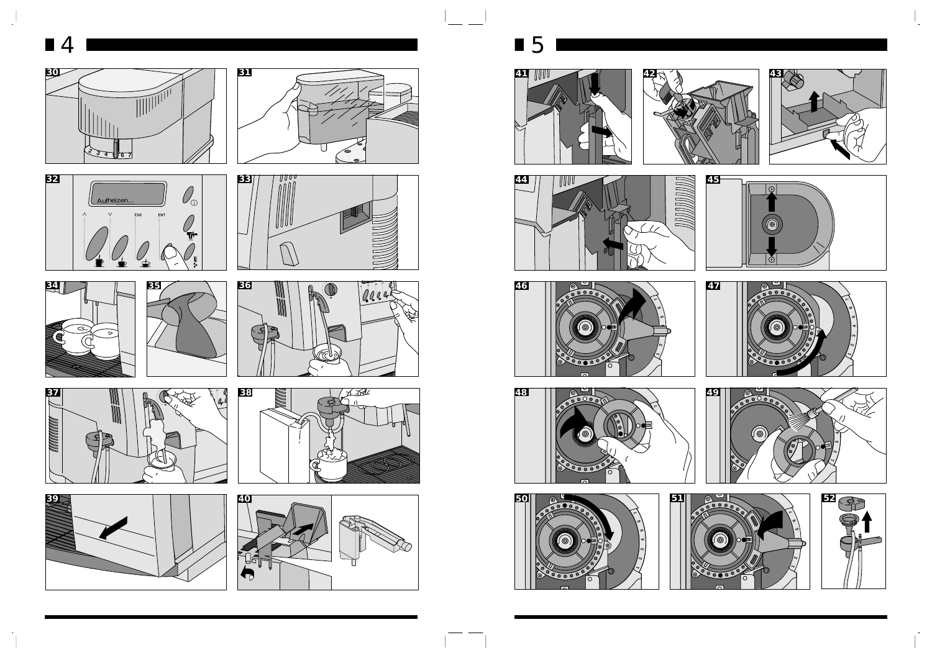

 $\mathcal{L}$ 



ัด

**<sup>+</sup>**

100.45 - 0

 $\mathcal{T}$ 

₹



 $\frac{1}{2}$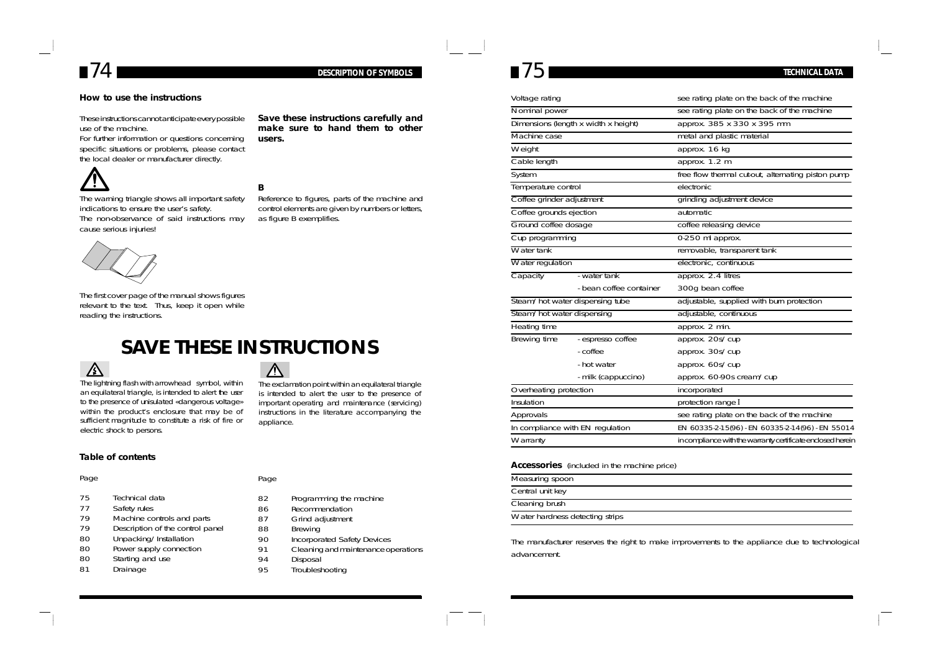

#### **How to use the instructions**

These instructions cannot anticipate every possible use of the machine.

For further information or questions concerning specific situations or problems, please contact the local dealer or manufacturer directly.

**users.**

The warning triangle shows all important safety indications to ensure the user's safety. The non-observance of said instructions may cause serious injuries!



Reference to figures, parts of the machine and control elements are given by numbers or letters, as figure B exemplifies.

**Save these instructions carefully and make sure to hand them to other**



The first cover page of the manual shows figures relevant to the text. Thus, keep it open while reading the instructions.

## **SAVE THESE INSTRUCTIONS**



The lightning flash with arrowhead symbol, within an equilateral triangle, is intended to alert the user to the presence of unisulated «dangerous voltage» within the product's enclosure that may be of sufficient magnitude to constitute a risk of fire or electric shock to persons.

## **Table of contents**

### Page

- 75 Technical data
- 77 Safety rules<br>79 Machine co
- 79 Machine controls and parts<br>79 Description of the control pa
- Description of the control panel
- 80 Unpacking/Installation
- 80 Power supply connection<br>80 Starting and use
- 80 Starting and use<br>81 Drainage
- Drainage

Page

appliance.

 $\triangle$ 

- 82 Programming the machine
- 86 Recommendation
	-
- 87 Grind adjustment<br>88 Brewing 88 Brewing<br>90 Incorpora
- 
- 90 Incorporated Safety Devices<br>91 Cleaning and maintenance or 91 Cleaning and maintenance operations<br>94 Disposal

The exclamation point within an equilateral triangle is intended to alert the user to the presence of important operating and maintenance (servicing) instructions in the literature accompanying the

- 94 Disposal<br>95 Troublesh
- **Troubleshooting**

| Voltage rating                       |                                 | see rating plate on the back of the machine                 |
|--------------------------------------|---------------------------------|-------------------------------------------------------------|
| Nominal power                        |                                 | see rating plate on the back of the machine                 |
| Dimensions (length x width x height) |                                 | approx. 385 x 330 x 395 mm                                  |
| Machine case                         |                                 | metal and plastic material                                  |
| Weight                               |                                 | approx. 16 kg                                               |
| Cable length                         |                                 | approx. 1.2 m                                               |
| System                               |                                 | free flow thermal cut-out, alternating piston pump          |
| Temperature control                  |                                 | electronic                                                  |
| Coffee grinder adjustment            |                                 | grinding adjustment device                                  |
| Coffee grounds ejection              |                                 | automatic.                                                  |
| Ground coffee dosage                 |                                 | coffee releasing device                                     |
| Cup programming                      |                                 | 0-250 ml approx.                                            |
| Water tank                           |                                 | removable, transparent tank                                 |
| Water regulation                     |                                 | electronic, continuous                                      |
| Capacity                             | - water tank                    | approx. 2.4 litres                                          |
|                                      | - bean coffee container         | 300g bean coffee                                            |
|                                      | Steam/hot water dispensing tube | adjustable, supplied with burn protection                   |
| Steam/hot water dispensing           |                                 | adjustable, continuous                                      |
| <b>Heating time</b>                  |                                 | approx. 2 min.                                              |
| Brewing time                         | - espresso coffee               | approx. 20s/cup                                             |
|                                      | - coffee                        | approx. 30s/cup                                             |
|                                      | - hot water                     | approx. 60s/cup                                             |
|                                      | - milk (cappuccino)             | approx. 60-90s cream/cup                                    |
| Overheating protection               |                                 | incorporated                                                |
| Insulation                           |                                 | protection range I                                          |
| Approvals                            |                                 | see rating plate on the back of the machine                 |
| In compliance with EN regulation     |                                 | EN 60335-2-15(96) - EN 60335-2-14(96) - EN 55014            |
| Warranty                             |                                 | in compliance with the warranty certificate enclosed herein |

#### **Accessories** (included in the machine price)

| Measuring spoon                 |
|---------------------------------|
| Central unit key                |
| Cleaning brush                  |
| Water hardness detecting strips |

The manufacturer reserves the right to make improvements to the appliance due to technological advancement.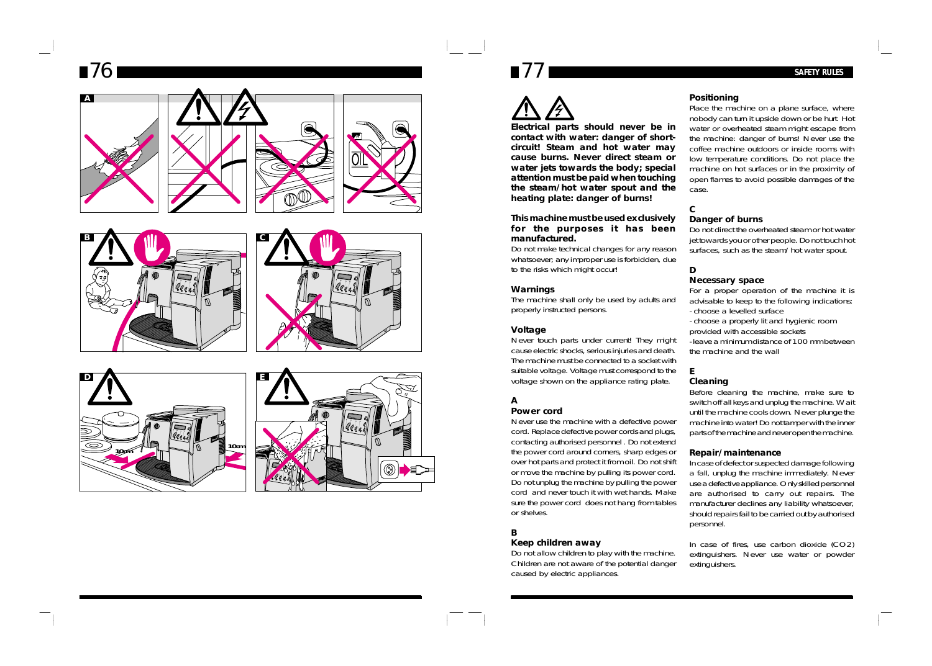# *76 77 SAFETY RULES*













**Electrical parts should never be in contact with water: danger of shortcircuit! Steam and hot water may cause burns. Never direct steam or water jets towards the body; special attention must be paid when touching the steam/hot water spout and the heating plate: danger of burns!**

#### **This machine must be used exclusively for the purposes it has been manufactured.**

Do not make technical changes for any reason whatsoever; any improper use is forbidden, due to the risks which might occur!

### **Warnings**

The machine shall only be used by adults and properly instructed persons.

### **Voltage**

Never touch parts under current! They might cause electric shocks, serious injuries and death. The machine must be connected to a socket with suitable voltage. Voltage must correspond to the voltage shown on the appliance rating plate.

### **A**

### **Power cord**

Never use the machine with a defective power cord. Replace defective power cords and plugs, contacting authorised personnel . Do not extend the power cord around corners, sharp edges or over hot parts and protect it from oil. Do not shift or move the machine by pulling its power cord. Do not unplug the machine by pulling the power cord and never touch it with wet hands. Make sure the power cord does not hang from tables or shelves.

**B**

### **Keep children away**

Do not allow children to play with the machine. Children are not aware of the potential danger caused by electric appliances.

### **Positioning**

Place the machine on a plane surface, where nobody can turn it upside down or be hurt. Hot water or overheated steam might escape from the machine: danger of burns! Never use the coffee machine outdoors or inside rooms with low temperature conditions. Do not place the machine on hot surfaces or in the proximity of open flames to avoid possible damages of the case.

### **Danger of burns**

Do not direct the overheated steam or hot water jet towards you or other people. Do not touch hot surfaces, such as the steam/hot water spout.

### **D**

**C**

### **Necessary space**

For a proper operation of the machine it is advisable to keep to the following indications: - choose a levelled surface

- choose a properly lit and hygienic room

provided with accessible sockets - leave a minimum distance of 100 mm between the machine and the wall

#### **E Cleaning**

Before cleaning the machine, make sure to switch off all keys and unplug the machine. Wait until the machine cools down. Never plunge the machine into water! Do not tamper with the inner parts of the machine and never open the machine.

#### **Repair/maintenance**

In case of defect or suspected damage following a fall, unplug the machine immediately. Never use a defective appliance. Only skilled personnel are authorised to carry out repairs. The manufacturer declines any liability whatsoever, should repairs fail to be carried out by authorised personnel.

In case of fires, use carbon dioxide (CO2) extinguishers. Never use water or powder extinguishers.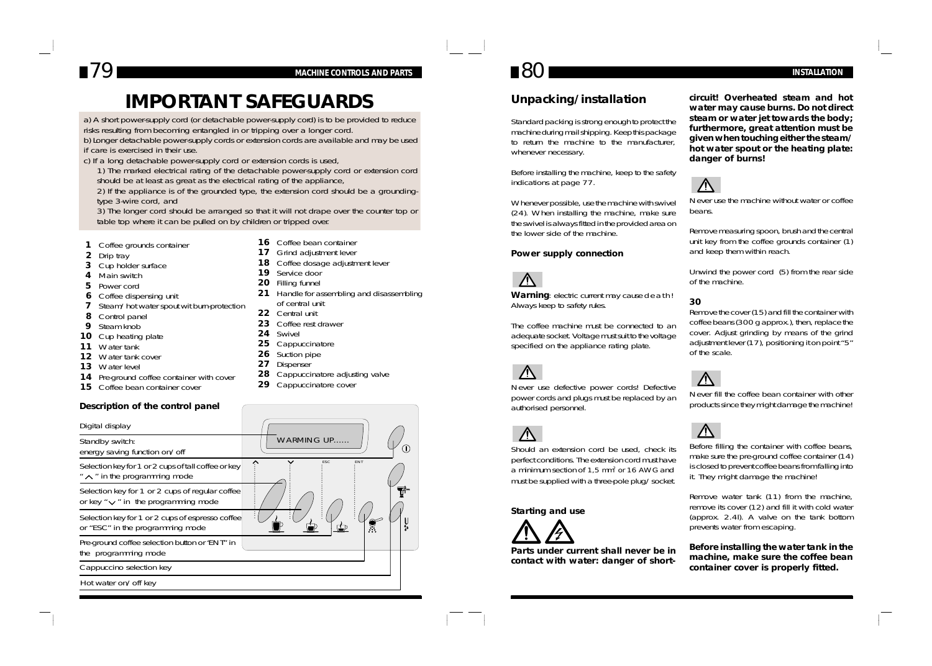## *79 80 MACHINE CONTROLS AND PARTS INSTALLATION*

## **IMPORTANT SAFEGUARDS**

a) A short power-supply cord (or detachable power-supply cord) is to be provided to reduce risks resulting from becoming entangled in or tripping over a longer cord.

b) Longer detachable power-supply cords or extension cords are available and may be used if care is exercised in their use.

c) If a long detachable power-supply cord or extension cords is used,

1) The marked electrical rating of the detachable power-supply cord or extension cord should be at least as great as the electrical rating of the appliance,

2) If the appliance is of the grounded type, the extension cord should be a groundingtype 3-wire cord, and

3) The longer cord should be arranged so that it will not drape over the counter top or table top where it can be pulled on by children or tripped over.

> 16 Coffee bean container **17** Grind adjustment lever

**19** Service door **20** Filling funnel

**24** Swivel

of central unit **22** Central unit 23 Coffee rest drawer

**25** Cappuccinatore **26** Suction pipe **27** Dispenser

29 Cappuccinatore cover

**18** Coffee dosage adjustment lever

**28** Cappuccinatore adjusting valve

**21** Handle for assembling and disassembling

- **1** Coffee grounds container
- **2** Drip tray
- **3** Cup holder surface
- **4** Main switch
- **5** Power cord
- **6** Coffee dispensing unit
- **7** Steam/hot water spout wit burn-protection
- **8** Control panel
- **9** Steam knob
- **10** Cup heating plate
- **11** Water tank
- **12** Water tank cover
- **13** Water level
- 14 Pre-ground coffee container with cover
- **15** Coffee bean container cover

#### **Description of the control panel**

| Digital display                                                                              |                   |
|----------------------------------------------------------------------------------------------|-------------------|
| Standby switch:<br>energy saving function on/off                                             | <b>WARMING UP</b> |
| Selection key for 1 or 2 cups of tall coffee or key<br>$" \wedge"$ in the programming mode   | ESC<br>◇<br>ENT   |
| Selection key for 1 or 2 cups of regular coffee<br>or key " $\vee$ " in the programming mode |                   |
| Selection key for 1 or 2 cups of espresso coffee<br>or "ESC" in the programming mode         |                   |
| Pre-ground coffee selection button or "ENT" in<br>the programming mode                       |                   |
| Cappuccino selection key                                                                     |                   |
| Hot water on/off key                                                                         |                   |
|                                                                                              |                   |

### **Unpacking/installation**

Standard packing is strong enough to protect the machine during mail shipping. Keep this package to return the machine to the manufacturer, whenever necessary.

Before installing the machine, keep to the safety indications at page 77.

Whenever possible, use the machine with swivel (24). When installing the machine, make sure the swivel is always fitted in the provided area on the lower side of the machine.

#### **Power supply connection**



Warning: electric current may cause death! Always keep to safety rules.

The coffee machine must be connected to an adequate socket. Voltage must suit to the voltage specified on the appliance rating plate.



Never use defective power cords! Defective power cords and plugs must be replaced by an authorised personnel.



Should an extension cord be used, check its perfect conditions. The extension cord must have a minimum section of 1,5 mm2 or 16 AWG and must be supplied with a three-pole plug/socket.

#### **Starting and use**



**Parts under current shall never be in contact with water: danger of short-**

**circuit! Overheated steam and hot water may cause burns. Do not direct steam or water jet towards the body; furthermore, great attention must be given when touching either the steam/ hot water spout or the heating plate: danger of burns!**



Never use the machine without water or coffee beans.

Remove measuring spoon, brush and the central unit key from the coffee grounds container (1) and keep them within reach.

Unwind the power cord (5) from the rear side of the machine.

### **30**

Remove the cover (15) and fill the container with coffee beans (300 g approx.), then, replace the cover. Adjust grinding by means of the grind adjustment lever (17), positioning it on point "5" of the scale.



Never fill the coffee bean container with other products since they might damage the machine!



Before filling the container with coffee beans, make sure the pre-ground coffee container (14) is closed to prevent coffee beans from falling into it. They might damage the machine!

Remove water tank (11) from the machine, remove its cover (12) and fill it with cold water (approx. 2.4l). A valve on the tank bottom prevents water from escaping.

**Before installing the water tank in the machine, make sure the coffee bean container cover is properly fitted.**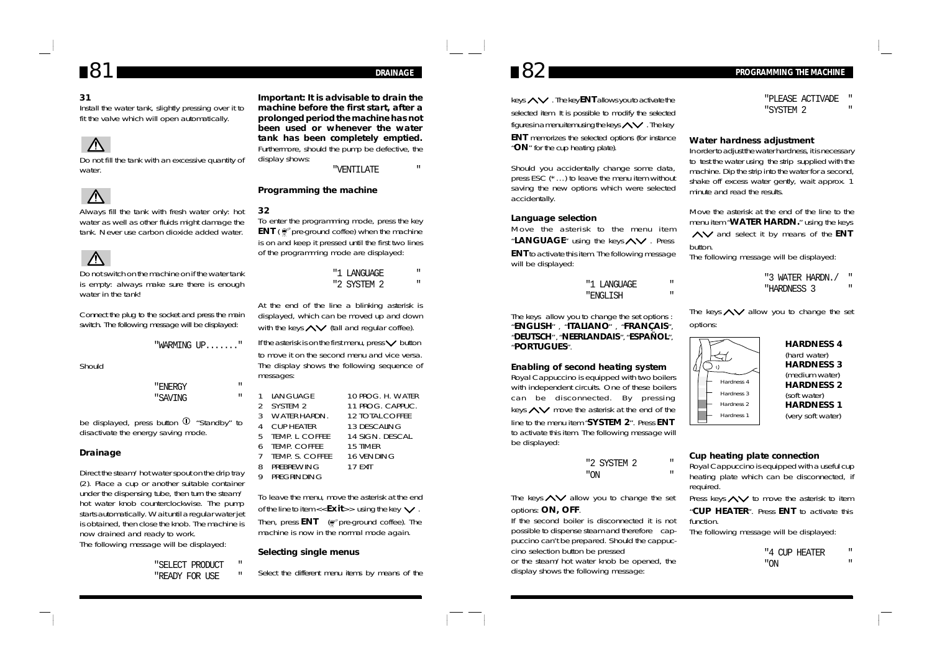### **31**

Install the water tank, slightly pressing over it to fit the valve which will open automatically.



Do not fill the tank with an excessive quantity of water.



Always fill the tank with fresh water only: hot water as well as other fluids might damage the tank. Never use carbon dioxide added water.



Do not switch on the machine on if the water tank is empty: always make sure there is enough water in the tank!

Connect the plug to the socket and press the main switch. The following message will be displayed:

"WARMING UP......."

Should

"ENERGY " "SAVING "

be displayed, press button  $\Phi$  "Standby" to disactivate the energy saving mode.

### **Drainage**

Direct the steam/hot water spout on the drip tray (2). Place a cup or another suitable container under the dispensing tube, then turn the steam/ hot water knob counterclockwise. The pump starts automatically. Wait until a regular water jet is obtained, then close the knob. The machine is now drained and ready to work.

The following message will be displayed:

"SELECT PRODUCT " "READY FOR USE

**Important: It is advisable to drain the machine before the first start, after a prolonged period the machine has not been used or whenever the water tank has been completely emptied.** Furthermore, should the pump be defective, the display shows:

"VENTILATE "

### **Programming the machine**

#### **32**

To enter the programming mode, press the key **ENT** (  $\mathcal{C}$  pre-ground coffee) when the machine is on and keep it pressed until the first two lines of the programming mode are displayed:

> "1 LANGUAGE " "2 SYSTEM 2 "

At the end of the line a blinking asterisk is displayed, which can be moved up and down with the keys  $\leftarrow$  (tall and regular coffee).

If the asterisk is on the first menu, press  $\vee$  button to move it on the second menu and vice versa. The display shows the following sequence of messages:

|               | <b>LANGUAGE</b>   | 10 PROG. H. WATER |
|---------------|-------------------|-------------------|
| $\mathcal{P}$ | SYSTEM 2          | 11 PROG. CAPPUC.  |
|               | 3 WATER HARDN.    | 12 TOTAL COFFFF   |
| 4             | CUP HEATER        | 13 DESCALING      |
|               | 5 TEMP. L. COFFEE | 14 SIGN. DESCAL.  |
|               | 6 TEMP. COFFEE    | 15 TIMER          |
|               | 7 TEMP. S. COFFEE | 16 VENDING        |
| 8             | PREBREWING        | 17 FXIT           |
| 9             | PREGRINDING       |                   |

To leave the menu, move the asterisk at the end of the line to item  $<<$  **Exit**>> using the key  $\vee$ 

Then, press **ENT** (*p* pre-ground coffee). The machine is now in the normal mode again.

### **Selecting single menus**

Select the different menu items by means of the



keys  $\land\lor$  . The key **ENT** allows you to activate the selected item. It is possible to modify the selected figures in a menu item using the keys  $\sim$  . The key

**ENT** memorizes the selected options (for instance "**ON**" for the cup heating plate).

Should you accidentally change some data, press ESC (\*…) to leave the menu item without saving the new options which were selected accidentally.

#### **Language selection**

Move the asterisk to the menu item "LANGUAGE" using the keys  $\wedge\vee$  . Press **ENT** to activate this item. The following message will be displayed:

| "1 LANGUAGE |  |
|-------------|--|
| "ENGLISH    |  |

The keys allow you to change the set options : "**ENGLISH**" , "**ITALIANO**" , "**FRANÇAIS**", "**DEUTSCH**" , "**NEERLANDAIS**", "**ESPAÑOL**", "**PORTUGUES**".

#### **Enabling of second heating system**

Royal Cappuccino is equipped with two boilers with independent circuits. One of these boilers can be disconnected. By pressing keys  $\sim$  move the asterisk at the end of the

line to the menu item "**SYSTEM 2**". Press **ENT** to activate this item. The following message will be displayed:

|     | "2 SYSTEM 2 |  |
|-----|-------------|--|
| "ON |             |  |

The keys  $\land\lor$  allow you to change the set options: **ON, OFF**.

If the second boiler is disconnected it is not possible to dispense steam and therefore cappuccino can't be prepared. Should the cappuccino selection button be pressed or the steam/hot water knob be opened, the display shows the following message:

## $81$  **PRAINAGE 82 PRAINAGE 82 PROGRAMMING THE MACHINE**

|           | "PLEASE ACTIVADE | н |
|-----------|------------------|---|
| "SYSTEM 2 |                  |   |

#### **Water hardness adjustment**

In order to adjust the water hardness, it is necessary to test the water using the strip supplied with the machine. Dip the strip into the water for a second, shake off excess water gently, wait approx. 1 minute and read the results.

Move the asterisk at the end of the line to the menu item "**WATER HARDN.**" using the keys  $\wedge\vee$  and select it by means of the **ENT** button.

The following message will be displayed:

- "3 WATER HARDN./ "
- "HARDNESS 3 "

The keys  $\land\lor$  allow you to change the set options:



### **HARDNESS 4** (hard water) **HARDNESS 3** (medium water) **HARDNESS 2** (soft water) **HARDNESS 1** (very soft water)

#### **Cup heating plate connection**

Royal Cappuccino is equipped with a useful cup heating plate which can be disconnected, if required.

Press keys  $\leftarrow$  to move the asterisk to item "**CUP HEATER**". Press **ENT** to activate this function.

The following message will be displayed:

|     | "4 CUP HEATER |  |
|-----|---------------|--|
| "ON |               |  |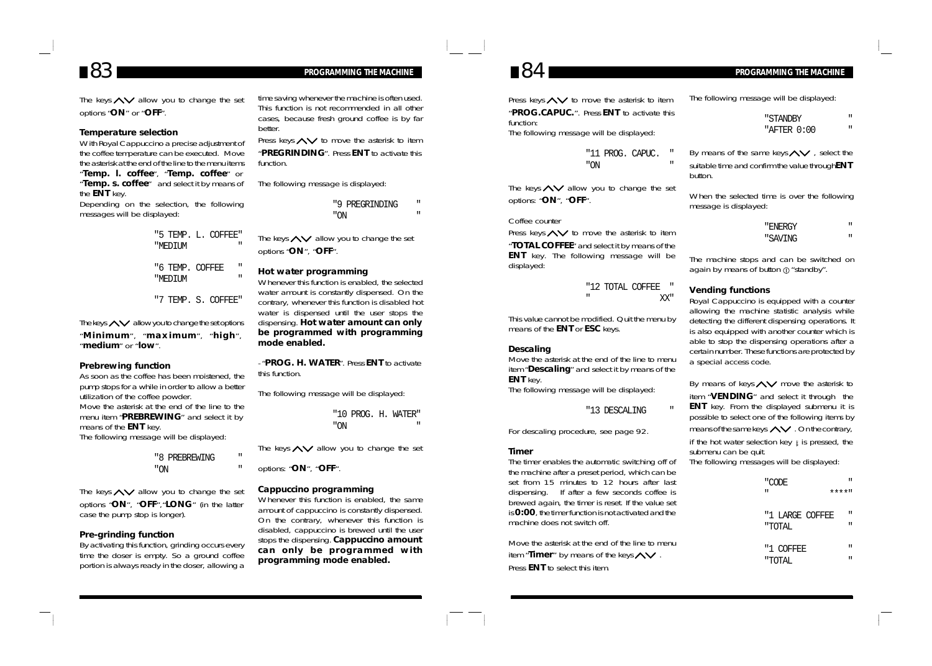## *83 PROGRAMMING THE MACHINE 84 PROGRAMMING THE MACHINE*

The keys  $\sim$  allow you to change the set options "**ON**" or "**OFF**".

#### **Temperature selection**

With Royal Cappuccino a precise adjustment of the coffee temperature can be executed. Move the asterisk at the end of the line to the menu items "**Temp. l. coffee**", "**Temp. coffee**" or "**Temp. s. coffee**" and select it by means of the **ENT** key.

Depending on the selection, the following messages will be displayed:

> "5 TEMP. L. COFFEE" "MEDIUM " "6 TEMP. COFFEE "MEDIUM "

"7 TEMP. S. COFFEE"

The keys  $\leftarrow$  allow you to change the set options

"**Minimum**", "**maximum**", "**high**", "**medium**" or "**low**".

#### **Prebrewing function**

As soon as the coffee has been moistened, the pump stops for a while in order to allow a better utilization of the coffee powder. Move the asterisk at the end of the line to the menu item "**PREBREWING**" and select it by means of the **ENT** key. The following message will be displayed:

|     | "8 PREBREWING |  |
|-----|---------------|--|
| "ON |               |  |

The keys  $\sim$  allow you to change the set options "**ON**", "**OFF**","**LONG**" (in the latter case the pump stop is longer).

#### **Pre-grinding function**

By activating this function, grinding occurs every time the doser is empty. So a ground coffee portion is always ready in the doser, allowing a time saving whenever the machine is often used. This function is not recommended in all other cases, because fresh ground coffee is by far better.

Press keys  $\leftarrow$  to move the asterisk to item "**PREGRINDING**". Press **ENT** to activate this function.

The following message is displayed:

"9 PREGRINDING " "ON "

The keys  $\leftarrow$  allow you to change the set options "**ON**", "**OFF**".

### **Hot water programming**

Whenever this function is enabled, the selected water amount is constantly dispensed. On the contrary, whenever this function is disabled hot water is dispensed until the user stops the dispensing. **Hot water amount can only be programmed with programming mode enabled.**

- "**PROG. H. WATER**". Press **ENT** to activate this function.

The following message will be displayed:

"10 PROG. H. WATER" "ON "

The keys  $\land\lor$  allow you to change the set

options: "**ON**", "**OFF**".

#### **Cappuccino programming**

Whenever this function is enabled, the same amount of cappuccino is constantly dispensed. On the contrary, whenever this function is disabled, cappuccino is brewed until the user stops the dispensing. **Cappuccino amount can only be programmed with programming mode enabled.**

Press keys  $\leftarrow$  to move the asterisk to item "**PROG.CAPUC.**". Press **ENT** to activate this function: The following message will be displayed:

> "11 PROG. CAPUC. " "ON "

The keys  $\sim$  allow you to change the set options: "**ON**", "**OFF**".

### Coffee counter

Press keys  $\sim$  to move the asterisk to item "**TOTAL COFFEE**" and select it by means of the **ENT** key. The following message will be displayed:

> "12 TOTAL COFFEE " " XX"

This value cannot be modified. Quit the menu by means of the **ENT** or **ESC** keys.

#### **Descaling**

Move the asterisk at the end of the line to menu item "**Descaling**" and select it by means of the **ENT** key. The following message will be displayed:

"13 DESCALING "

For descaling procedure, see page 92.

#### **Timer**

The timer enables the automatic switching off of the machine after a preset period, which can be set from 15 minutes to 12 hours after last dispensing. If after a few seconds coffee is brewed again, the timer is reset. If the value set is **0:00**, the timer function is not activated and the machine does not switch off.

Move the asterisk at the end of the line to menu item "**Timer**" by means of the keys  $\wedge\vee$ . Press **ENT** to select this item.

The following message will be displayed:

| "STANDBY    |  |
|-------------|--|
| "AFTER 0:00 |  |

By means of the same keys $\leftarrow$ , select the suitable time and confirm the value through**ENT** button.

When the selected time is over the following message is displayed:

| "ENERGY | п |
|---------|---|
| "SAVING | п |

The machine stops and can be switched on again by means of button  $\sigma$  "standby".

#### **Vending functions**

Royal Cappuccino is equipped with a counter allowing the machine statistic analysis while detecting the different dispensing operations. It is also equipped with another counter which is able to stop the dispensing operations after a certain number. These functions are protected by a special access code.

By means of keys  $\land\lor$  move the asterisk to item "**VENDING**" and select it through the **ENT** key. From the displayed submenu it is possible to select one of the following items by means of the same keys  $\leftarrow$ . On the contrary, if the hot water selection key  $\mu$  is pressed, the submenu can be quit.

The following messages will be displayed:

| п | п<br>"CODE<br>****‼                 |
|---|-------------------------------------|
|   | п<br>"1 LARGE COFFEE<br>п<br>"TOTAL |
|   | "1 COFFEE<br>п<br>п<br>"TOTAL       |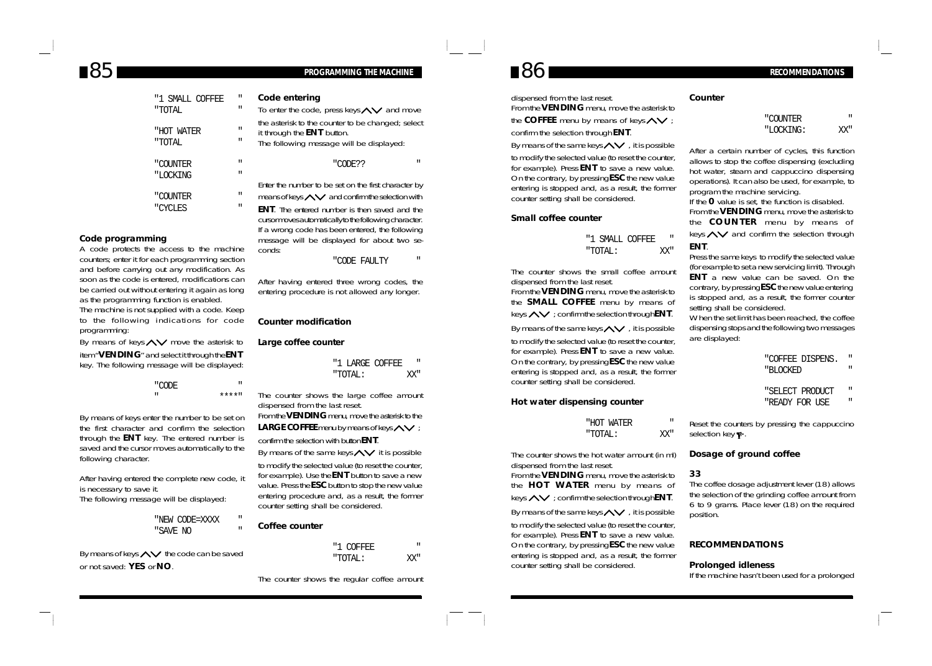## *85 86 PROGRAMMING THE MACHINE RECOMMENDATIONS*

| "1 SMALL COFFEE      | П      | Code                        |
|----------------------|--------|-----------------------------|
| "TOTAL               | П      | To ent                      |
| "HOT WATER<br>"TOTAL | п<br>П | the as<br>it thro<br>The fo |
| "COUNTER             | П      |                             |
| "LOCKING             | Ħ      |                             |
|                      |        | Fnter t                     |
| "COUNTER             | П      | means                       |
| "CYCLES              | Ħ      | ENT.                        |

#### **Code programming**

A code protects the access to the machine counters; enter it for each programming section and before carrying out any modification. As soon as the code is entered, modifications can be carried out without entering it again as long as the programming function is enabled. The machine is not supplied with a code. Keep to the following indications for code programming:

By means of keys  $\land\lor$  move the asterisk to

item "**VENDING**" and select it through the **ENT** key. The following message will be displayed:

> "CODE " " \*\*\*\*"

By means of keys enter the number to be set on the first character and confirm the selection through the **ENT** key. The entered number is saved and the cursor moves automatically to the following character.

After having entered the complete new code, it is necessary to save it. The following message will be displayed:

> "NEW CODE=XXXX " "SAVE NO "

By means of keys  $\leftarrow$  the code can be saved or not saved: **YES** or **NO**.

**Code entering** ter the code, press keys  $\leftarrow$  and move sterisk to the counter to be changed; select uah the **ENT** button. bllowing message will be displayed:

"CODE?? "

he number to be set on the first character by

 $\mathsf{S}$  of keys  $\triangle\mathsf{V}$  and confirm the selection with

The entered number is then saved and the cursor moves automatically to the following character. If a wrong code has been entered, the following message will be displayed for about two seconds:

"CODE FAULTY

After having entered three wrong codes, the entering procedure is not allowed any longer.

#### **Counter modification**

#### **Large coffee counter**

|         | "1 LARGE COFFEE | ш   |
|---------|-----------------|-----|
| "TOTAL: |                 | XX" |

The counter shows the large coffee amount dispensed from the last reset.

From the **VENDING** menu, move the asterisk to the LARGE COFFEE menu by means of keys  $\wedge\vee$  ;

confirm the selection with button **ENT**. By means of the same keys  $\leftarrow$  it is possible

to modify the selected value (to reset the counter, for example). Use the **ENT** button to save a new value. Press the **ESC** button to stop the new value entering procedure and, as a result, the former counter setting shall be considered.

### **Coffee counter**

"1 COFFEE " "TOTAL: XX"

#### The counter shows the regular coffee amount

dispensed from the last reset. From the **VENDING** menu, move the asterisk to

the **COFFEE** menu by means of keys  $\wedge\vee$ 

confirm the selection through **ENT**.

By means of the same keys  $\leftarrow$ , it is possible to modify the selected value (to reset the counter, for example). Press **ENT** to save a new value. On the contrary, by pressing **ESC** the new value entering is stopped and, as a result, the former counter setting shall be considered.

#### **Small coffee counter**

### "1 SMALL COFFEE " "TOTAL: XX"

The counter shows the small coffee amount dispensed from the last reset.

From the **VENDING** menu, move the asterisk to the **SMALL COFFEE** menu by means of keys  $\land\lor$  ; confirm the selection through **ENT**.

By means of the same keys  $\leftarrow$ , it is possible to modify the selected value (to reset the counter, for example). Press **ENT** to save a new value. On the contrary, by pressing **ESC** the new value entering is stopped and, as a result, the former counter setting shall be considered.

#### **Hot water dispensing counter**

| "HOT WATER | п   |
|------------|-----|
| "TOTAL:    | YY∥ |

The counter shows the hot water amount (in ml) dispensed from the last reset.

From the **VENDING** menu, move the asterisk to the **HOT WATER** menu by means of keys  $\leftarrow$  ; confirm the selection through **ENT**.

By means of the same keys  $\leftarrow$ , it is possible to modify the selected value (to reset the counter, for example). Press **ENT** to save a new value. On the contrary, by pressing **ESC** the new value entering is stopped and, as a result, the former counter setting shall be considered.

#### **Counter**

| "COUNTER  | п   |
|-----------|-----|
| "LOCKING: | XX" |

After a certain number of cycles, this function allows to stop the coffee dispensing (excluding hot water, steam and cappuccino dispensing operations). It can also be used, for example, to program the machine servicing. If the **0** value is set, the function is disabled. From the **VENDING** menu, move the asterisk to the **COUNTER** menu by means of keys  $\land\lor$  and confirm the selection through **ENT**.

Press the same keys to modify the selected value (for example to set a new servicing limit). Through **ENT** a new value can be saved. On the contrary, by pressing **ESC** the new value entering is stopped and, as a result, the former counter setting shall be considered.

When the set limit has been reached, the coffee dispensing stops and the following two messages are displayed:

### "COFFEE DISPENS. "

- "BLOCKED "
- "SELECT PRODUCT "
- "READY FOR USE

Reset the counters by pressing the cappuccino selection key  $\blacksquare$ .

#### **Dosage of ground coffee**

#### **33**

The coffee dosage adjustment lever (18) allows the selection of the grinding coffee amount from 6 to 9 grams. Place lever (18) on the required position.

### **RECOMMENDATIONS**

#### **Prolonged idleness**

If the machine hasn't been used for a prolonged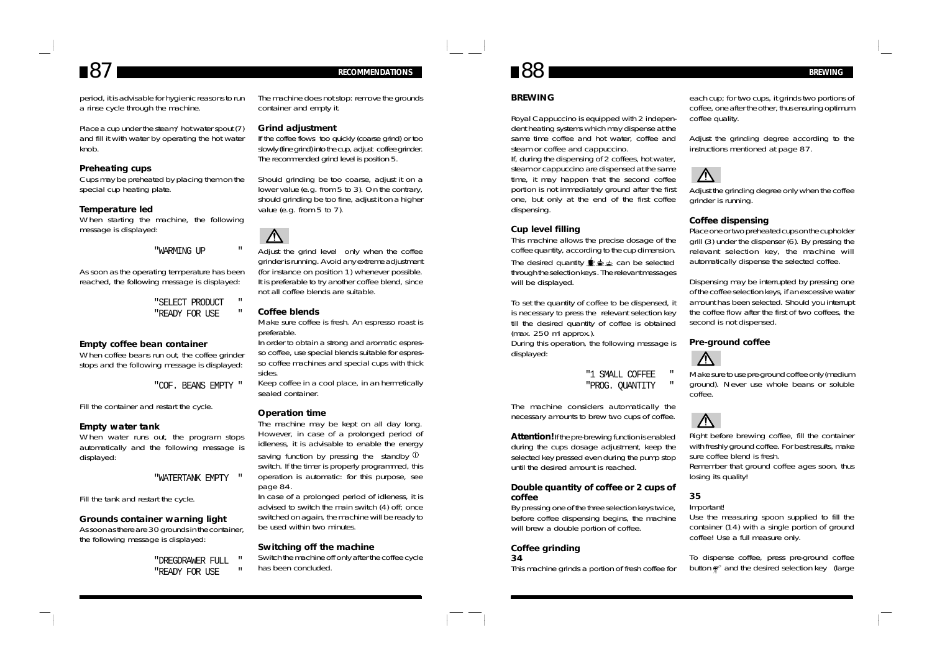## *87 RECOMMENDATIONS 88 BREWING*

period, it is advisable for hygienic reasons to run a rinse cycle through the machine.

Place a cup under the steam/hot water spout (7) and fill it with water by operating the hot water knob.

#### **Preheating cups**

Cups may be preheated by placing them on the special cup heating plate.

#### **Temperature led**

When starting the machine, the following message is displayed:

#### "WARMING UP "

As soon as the operating temperature has been reached, the following message is displayed:

> "SELECT PRODUCT " "READY FOR USE

#### **Empty coffee bean container**

When coffee beans run out, the coffee grinder stops and the following message is displayed:

"COF. BEANS EMPTY "

Fill the container and restart the cycle.

#### **Empty water tank**

When water runs out, the program stops automatically and the following message is displayed:

#### "WATERTANK EMPTY "

Fill the tank and restart the cycle.

#### **Grounds container warning light**

As soon as there are 30 grounds in the container, the following message is displayed:

> "DREGDRAWER FULL " "READY FOR USE

The machine does not stop: remove the grounds container and empty it.

#### **Grind adjustment**

If the coffee flows too quickly (coarse grind) or too slowly (fine grind) into the cup, adjust coffee grinder. The recommended grind level is position 5.

Should grinding be too coarse, adjust it on a lower value (e.g. from 5 to 3). On the contrary, should grinding be too fine, adjust it on a higher value (e.g. from 5 to 7).



Adjust the grind level only when the coffee grinder is running. Avoid any extreme adjustment (for instance on position 1) whenever possible. It is preferable to try another coffee blend, since not all coffee blends are suitable.

#### **Coffee blends**

Make sure coffee is fresh. An espresso roast is preferable.

In order to obtain a strong and aromatic espresso coffee, use special blends suitable for espresso coffee machines and special cups with thick sides.

Keep coffee in a cool place, in an hermetically sealed container.

#### **Operation time**

The machine may be kept on all day long. However, in case of a prolonged period of idleness, it is advisable to enable the energy saving function by pressing the standby  $\Phi$ switch. If the timer is properly programmed, this operation is automatic: for this purpose, see page 84.

In case of a prolonged period of idleness, it is advised to switch the main switch (4) off; once switched on again, the machine will be ready to be used within two minutes.

#### **Switching off the machine**

Switch the machine off only after the coffee cycle has been concluded.

#### **BREWING**

Royal Cappuccino is equipped with 2 independent heating systems which may dispense at the same time coffee and hot water, coffee and steam or coffee and cappuccino.

If, during the dispensing of 2 coffees, hot water, steam or cappuccino are dispensed at the same time, it may happen that the second coffee portion is not immediately ground after the first one, but only at the end of the first coffee dispensing.

#### **Cup level filling**

This machine allows the precise dosage of the coffee quantity, according to the cup dimension. The desired quantity  $\mathbf{r} \triangleq \mathbf{r}$  can be selected through the selection keys . The relevant messages will be displayed.

To set the quantity of coffee to be dispensed, it is necessary to press the relevant selection key till the desired quantity of coffee is obtained (max. 250 ml approx.).

During this operation, the following message is displayed:

> "1 SMALL COFFEE " "PROG. QUANTITY

The machine considers automatically the

necessary amounts to brew two cups of coffee.

**Attention!** If the pre-brewing function is enabled during the cups dosage adjustment, keep the selected key pressed even during the pump stop until the desired amount is reached.

#### **Double quantity of coffee or 2 cups of coffee**

By pressing one of the three selection keys twice, before coffee dispensing begins, the machine will brew a double portion of coffee.

#### **Coffee grinding 34**

This machine grinds a portion of fresh coffee for

each cup; for two cups, it grinds two portions of coffee, one after the other, thus ensuring optimum coffee quality.

Adjust the grinding degree according to the instructions mentioned at page 87.



Adjust the grinding degree only when the coffee grinder is running.

#### **Coffee dispensing**

Place one or two preheated cups on the cupholder grill (3) under the dispenser (6). By pressing the relevant selection key, the machine will automatically dispense the selected coffee.

Dispensing may be interrupted by pressing one of the coffee selection keys, if an excessive water amount has been selected. Should you interrupt the coffee flow after the first of two coffees, the second is not dispensed.

#### **Pre-ground coffee**



Make sure to use pre-ground coffee only (medium ground). Never use whole beans or soluble coffee.



Right before brewing coffee, fill the container with freshly ground coffee. For best results, make sure coffee blend is fresh. Remember that ground coffee ages soon, thus losing its quality!

### **35**

Important!

Use the measuring spoon supplied to fill the container (14) with a single portion of ground coffee! Use a full measure only.

To dispense coffee, press pre-ground coffee button  $\bullet$  and the desired selection key (large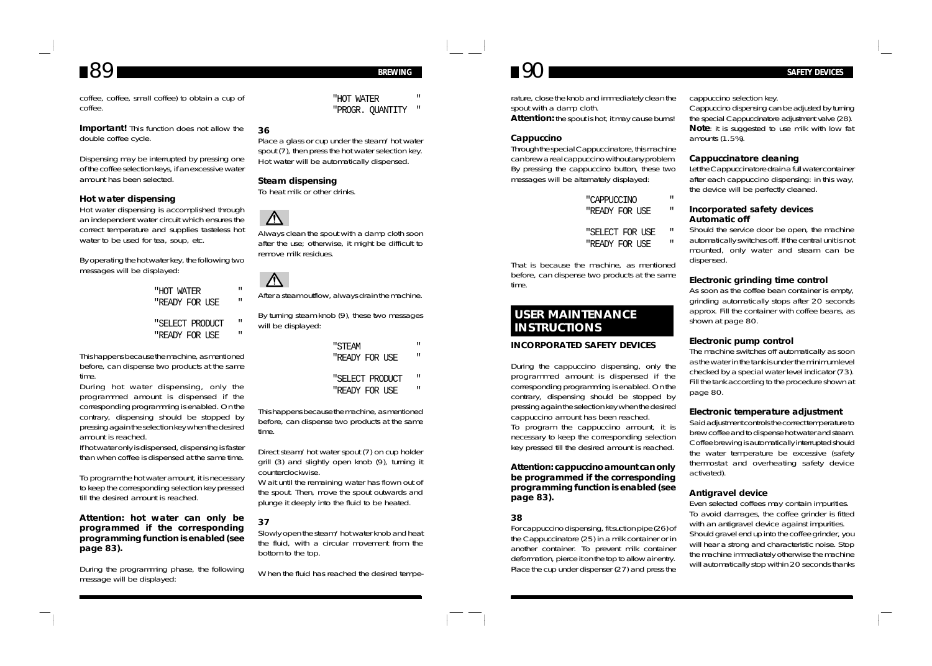coffee, coffee, small coffee) to obtain a cup of coffee.

**Important!** This function does not allow the double coffee cycle.

Dispensing may be interrupted by pressing one of the coffee selection keys, if an excessive water amount has been selected.

#### **Hot water dispensing**

Hot water dispensing is accomplished through an independent water circuit which ensures the correct temperature and supplies tasteless hot water to be used for tea, soup, etc.

By operating the hot water key, the following two messages will be displayed:

> "HOT WATER "READY FOR USE

> "SELECT PRODUCT " "READY FOR USE

This happens because the machine, as mentioned before, can dispense two products at the same time.

During hot water dispensing, only the programmed amount is dispensed if the corresponding programming is enabled. On the contrary, dispensing should be stopped by pressing again the selection key when the desired amount is reached.

If hot water only is dispensed, dispensing is faster than when coffee is dispensed at the same time.

To program the hot water amount, it is necessary to keep the corresponding selection key pressed till the desired amount is reached.

#### **Attention: hot water can only be programmed if the corresponding programming function is enabled (see page 83).**

During the programming phase, the following message will be displayed:

"HOT WATER "PROGR. QUANTITY "

### **36**

Place a glass or cup under the steam/hot water spout (7), then press the hot water selection key. Hot water will be automatically dispensed.

#### **Steam dispensing**

To heat milk or other drinks.

## $\bigwedge$

Always clean the spout with a damp cloth soon after the use; otherwise, it might be difficult to remove milk residues.



After a steam outflow, always drain the machine.

By turning steam knob (9), these two messages will be displayed:

- "STEAM "
- "READY FOR USE
- "SELECT PRODUCT "
- "READY FOR USE

This happens because the machine, as mentioned before, can dispense two products at the same time.

Direct steam/hot water spout (7) on cup holder grill (3) and slightly open knob (9), turning it counterclockwise.

Wait until the remaining water has flown out of the spout. Then, move the spout outwards and plunge it deeply into the fluid to be heated.

#### **37**

Slowly open the steam/hot water knob and heat the fluid, with a circular movement from the bottom to the top.

When the fluid has reached the desired tempe-

## $89$  **BREWING 80 BREWING 80 BREWING 80 BREWING 8 90 BREWING 84FETY DEVICES**

rature, close the knob and immediately clean the spout with a damp cloth. **Attention:** the spout is hot, it may cause burns!

#### **Cappuccino**

Through the special Cappuccinatore, this machine can brew a real cappuccino without any problem. By pressing the cappuccino button, these two messages will be alternately displayed:

| "CAPPUCCINO    |  | п |
|----------------|--|---|
| "READY FOR USE |  | п |

"SELECT FOR USE "

"READY FOR USE

That is because the machine, as mentioned before, can dispense two products at the same time.

### **USER MAINTENANCE INSTRUCTIONS**

#### **INCORPORATED SAFETY DEVICES**

During the cappuccino dispensing, only the programmed amount is dispensed if the corresponding programming is enabled. On the contrary, dispensing should be stopped by pressing again the selection key when the desired cappuccino amount has been reached. To program the cappuccino amount, it is

necessary to keep the corresponding selection key pressed till the desired amount is reached.

#### **Attention: cappuccino amount can only be programmed if the corresponding programming function is enabled (see page 83).**

#### **38**

For cappuccino dispensing, fit suction pipe (26) of the Cappuccinatore (25) in a milk container or in another container. To prevent milk container deformation, pierce it on the top to allow air entry. Place the cup under dispenser (27) and press the cappuccino selection key.

Cappuccino dispensing can be adjusted by turning the special Cappuccinatore adjustment valve (28). **Note**: it is suggested to use milk with low fat amounts (1.5%).

#### **Cappuccinatore cleaning**

Let the Cappuccinatore drain a full water container after each cappuccino dispensing: in this way, the device will be perfectly cleaned.

#### **Incorporated safety devices Automatic off**

Should the service door be open, the machine automatically switches off. If the central unit is not mounted, only water and steam can be dispensed.

#### **Electronic grinding time control**

As soon as the coffee bean container is empty, grinding automatically stops after 20 seconds approx. Fill the container with coffee beans, as shown at page 80.

#### **Electronic pump control**

The machine switches off automatically as soon as the water in the tank is under the minimum level checked by a special water level indicator (73). Fill the tank according to the procedure shown at page 80.

#### **Electronic temperature adjustment**

Said adjustment controls the correct temperature to brew coffee and to dispense hot water and steam. Coffee brewing is automatically interrupted should the water temperature be excessive (safety thermostat and overheating safety device activated).

#### **Antigravel device**

Even selected coffees may contain impurities. To avoid damages, the coffee grinder is fitted with an antigravel device against impurities. Should gravel end up into the coffee grinder, you will hear a strong and characteristic noise. Stop the machine immediately otherwise the machine will automatically stop within 20 seconds thanks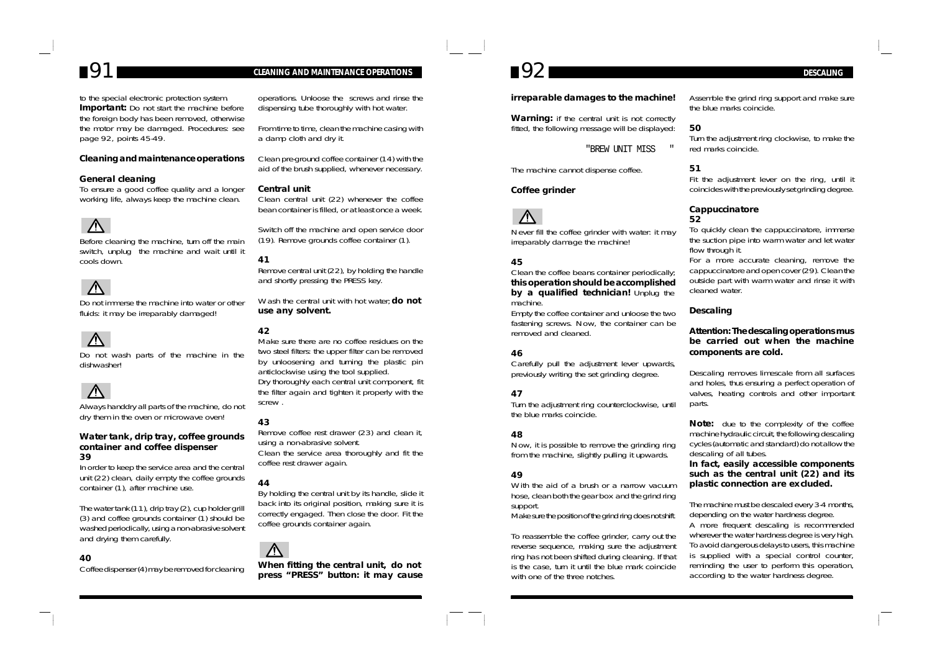to the special electronic protection system. **Important:** Do not start the machine before the foreign body has been removed, otherwise the motor may be damaged. Procedures: see page 92, points 45-49.

### **Cleaning and maintenance operations**

#### **General cleaning**

To ensure a good coffee quality and a longer working life, always keep the machine clean.

## $\bigwedge$

Before cleaning the machine, turn off the main switch, unplug the machine and wait until it cools down.

Do not immerse the machine into water or other fluids: it may be irreparably damaged!



Do not wash parts of the machine in the dishwasher!



Always handdry all parts of the machine, do not dry them in the oven or microwave oven!

#### **Water tank, drip tray, coffee grounds container and coffee dispenser 39**

In order to keep the service area and the central unit (22) clean, daily empty the coffee grounds container (1), after machine use.

The water tank (11), drip tray (2), cup holder grill (3) and coffee grounds container (1) should be washed periodically, using a non-abrasive solvent and drying them carefully.

### **40**

Coffee dispenser (4) may be removed for cleaning

## *91 CLEANING AND MAINTENANCE OPERATIONS 92 DESCALING*

operations. Unloose the screws and rinse the dispensing tube thoroughly with hot water.

From time to time, clean the machine casing with a damp cloth and dry it.

Clean pre-ground coffee container (14) with the aid of the brush supplied, whenever necessary.

#### **Central unit**

Clean central unit (22) whenever the coffee bean container is filled, or at least once a week.

Switch off the machine and open service door (19). Remove grounds coffee container (1).

#### **41**

Remove central unit (22), by holding the handle and shortly pressing the PRESS key.

Wash the central unit with hot water; **do not use any solvent.**

#### **42**

Make sure there are no coffee residues on the two steel filters: the upper filter can be removed by unloosening and turning the plastic pin anticlockwise using the tool supplied. Dry thoroughly each central unit component, fit the filter again and tighten it properly with the screw .

### **43**

Remove coffee rest drawer (23) and clean it, using a non-abrasive solvent. Clean the service area thoroughly and fit the coffee rest drawer again.

### **44**

By holding the central unit by its handle, slide it back into its original position, making sure it is correctly engaged. Then close the door. Fit the coffee grounds container again.



**When fitting the central unit, do not press "PRESS" button: it may cause**

#### **irreparable damages to the machine!**

**Warning:** if the central unit is not correctly fitted, the following message will be displayed:

"BREW UNIT MISS "

The machine cannot dispense coffee.

#### **Coffee grinder**



Never fill the coffee grinder with water: it may irreparably damage the machine!

### **45**

#### Clean the coffee beans container periodically; **this operation should be accomplished by a qualified technician!** Unplug the machine.

Empty the coffee container and unloose the two fastening screws. Now, the container can be removed and cleaned.

### **46**

Carefully pull the adjustment lever upwards, previously writing the set grinding degree.

### **47**

Turn the adjustment ring counterclockwise, until the blue marks coincide.

### **48**

Now, it is possible to remove the grinding ring from the machine, slightly pulling it upwards.

### **49**

With the aid of a brush or a narrow vacuum hose, clean both the gear box and the grind ring support. Make sure the position of the grind ring does not shift.

To reassemble the coffee grinder, carry out the reverse sequence, making sure the adjustment ring has not been shifted during cleaning. If that is the case, turn it until the blue mark coincide with one of the three notches.

Assemble the grind ring support and make sure the blue marks coincide.

### **50**

Turn the adjustment ring clockwise, to make the red marks coincide.

### **51**

Fit the adjustment lever on the ring, until it coincides with the previously set grinding degree.

#### **Cappuccinatore 52**

To quickly clean the cappuccinatore, immerse the suction pipe into warm water and let water flow through it.

For a more accurate cleaning, remove the cappuccinatore and open cover (29). Clean the outside part with warm water and rinse it with cleaned water.

### **Descaling**

### **Attention: The descaling operations mus be carried out when the machine components are cold.**

Descaling removes limescale from all surfaces and holes, thus ensuring a perfect operation of valves, heating controls and other important parts.

**Note:** due to the complexity of the coffee machine hydraulic circuit, the following descaling cycles (automatic and standard) do not allow the descaling of all tubes.

**In fact, easily accessible components such as the central unit (22) and its plastic connection are excluded.**

The machine must be descaled every 3-4 months, depending on the water hardness degree. A more frequent descaling is recommended wherever the water hardness degree is very high. To avoid dangerous delays to users, this machine is supplied with a special control counter, reminding the user to perform this operation, according to the water hardness degree.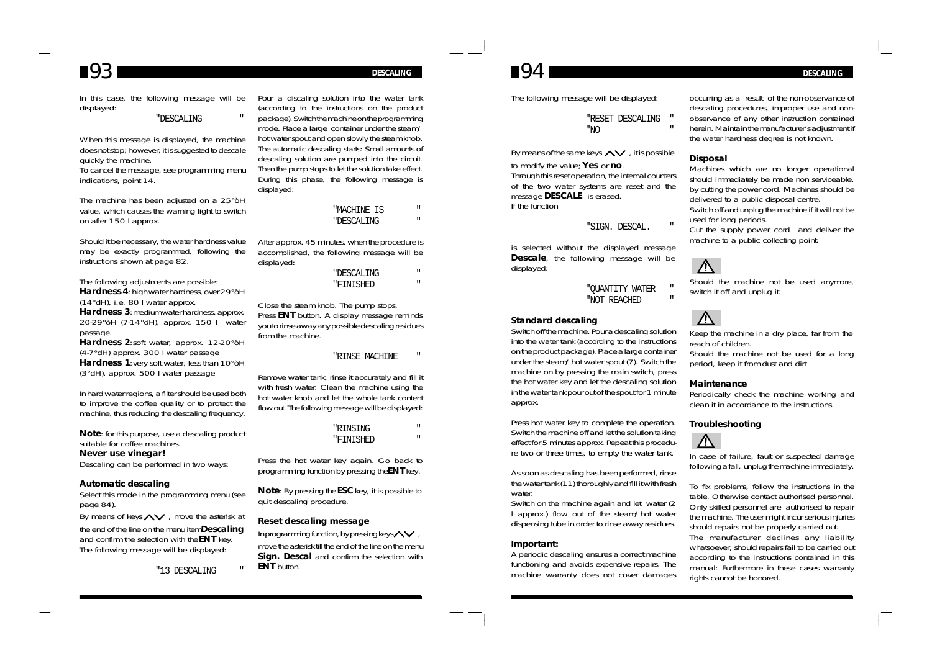## *93 DESCALING*

#### In this case, the following message will be displayed:

#### "DESCALING "

When this message is displayed, the machine does not stop; however, it is suggested to descale quickly the machine. To cancel the message, see programming menu indications, point 14.

The machine has been adjusted on a 25°òH value, which causes the warning light to switch on after 150 l approx.

Should it be necessary, the water hardness value may be exactly programmed, following the instructions shown at page 82.

The following adjustments are possible: **Hardness 4**: high water hardness, over 29°òH (14°dH), i.e. 80 l water approx. **Hardness 3**: medium water hardness, approx. 20-29°òH (7-14°dH), approx. 150 l water passage. **Hardness 2**:soft water, approx. 12-20°òH

(4-7°dH) approx. 300 l water passage **Hardness 1**:very soft water, less than 10°òH (3°dH), approx. 500 l water passage

In hard water regions, a filter should be used both to improve the coffee quality or to protect the machine, thus reducing the descaling frequency.

**Note**: for this purpose, use a descaling product suitable for coffee machines.

### **Never use vinegar!**

Descaling can be performed in two ways:

#### **Automatic descaling**

Select this mode in the programming menu (see page 84).

By means of keys  $\land\lor$ , move the asterisk at

the end of the line on the menu item **Descaling** and confirm the selection with the **ENT** key. The following message will be displayed:

"13 DESCALING "

Pour a discaling solution into the water tank (according to the instructions on the product package). Switch the machine on the programming mode. Place a large container under the steam/ hot water spout and open slowly the steam knob. The automatic descaling starts: Small amounts of descaling solution are pumped into the circuit. Then the pump stops to let the solution take effect. During this phase, the following message is displayed:

"MACHINE IS "

"DESCALING "

After approx. 45 minutes, when the procedure is accomplished, the following message will be displayed:

> "DESCALING " "FINISHED "

Close the steam knob. The pump stops. Press **ENT** button. A display message reminds you to rinse away any possible descaling residues from the machine.

#### "RINSE MACHINE "

Remove water tank, rinse it accurately and fill it with fresh water. Clean the machine using the hot water knob and let the whole tank content flow out. The following message will be displayed:

> "RINSING " "FINISHED "

Press the hot water key again. Go back to programming function by pressing the **ENT** key.

**Note**: By pressing the **ESC** key, it is possible to quit descaling procedure.

#### **Reset descaling message**

In programming function, by pressing keys  $\sim$ move the asterisk till the end of the line on the menu **Sign. Descal** and confirm the selection with **ENT** button.

The following message will be displayed:

"RESET DESCALING " "NO "

By means of the same keys  $\leftarrow$ , it is possible to modify the value; **Yes** or **no**.

Through this reset operation, the internal counters of the two water systems are reset and the message **DESCALE** is erased. If the function

#### "SIGN. DESCAL. "

is selected without the displayed message **Descale**, the following message will be displayed:

> "QUANTITY WATER " "NOT REACHED "

#### **Standard descaling**

Switch off the machine. Pour a descaling solution into the water tank (according to the instructions on the product package). Place a large container under the steam/hot water spout (7). Switch the machine on by pressing the main switch, press the hot water key and let the descaling solution in the water tank pour out of the spout for 1 minute approx.

Press hot water key to complete the operation. Switch the machine off and let the solution taking effect for 5 minutes approx. Repeat this procedure two or three times, to empty the water tank.

As soon as descaling has been performed, rinse the water tank (11) thoroughly and fill it with fresh water.

Switch on the machine again and let water (2 l approx.) flow out of the steam/hot water dispensing tube in order to rinse away residues.

#### **Important:**

A periodic descaling ensures a correct machine functioning and avoids expensive repairs. The machine warranty does not cover damages

occurring as a result of the non-observance of descaling procedures, improper use and nonobservance of any other instruction contained herein. Maintain the manufacturer's adjustment if the water hardness degree is not known.

### **Disposal**

Machines which are no longer operational should immediately be made non serviceable, by cutting the power cord. Machines should be delivered to a public disposal centre. Switch off and unplug the machine if it will not be used for long periods.

Cut the supply power cord and deliver the machine to a public collecting point.



Should the machine not be used anymore, switch it off and unplug it.

## $\Lambda$

Keep the machine in a dry place, far from the reach of children. Should the machine not be used for a long period, keep it from dust and dirt

#### **Maintenance**

Periodically check the machine working and clean it in accordance to the instructions.

#### **Troubleshooting**



In case of failure, fault or suspected damage following a fall, unplug the machine immediately.

To fix problems, follow the instructions in the table. Otherwise contact authorised personnel. Only skilled personnel are authorised to repair the machine. The user might incur serious injuries should repairs not be properly carried out. The manufacturer declines any liability whatsoever, should repairs fail to be carried out according to the instructions contained in this manual: Furthermore in these cases warranty rights cannot be honored.

## *94 DESCALING*